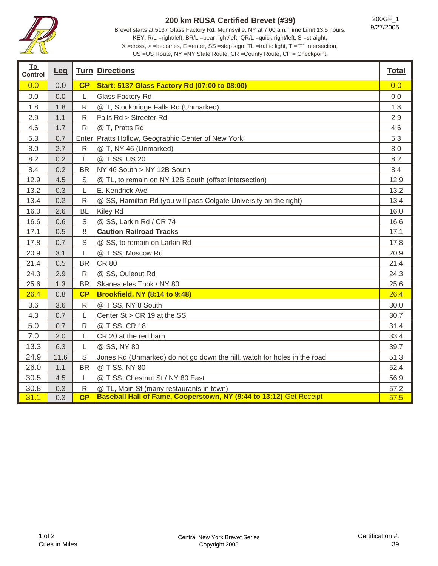

## **200 km RUSA Certified Brevet (#39)**

200GF\_1 9/27/2005

Brevet starts at 5137 Glass Factory Rd, Munnsville, NY at 7:00 am. Time Limit 13.5 hours. KEY: R/L =right/left, BR/L =bear right/left, QR/L =quick right/left, S =straight, X =cross, > =becomes, E =enter, SS =stop sign, TL =traffic light, T ="T" Intersection,

US =US Route, NY =NY State Route, CR =County Route, CP = Checkpoint.

| <u>To</u><br><b>Control</b> | <u>Leg</u> |              | <b>Turn Directions</b>                                                   | <b>Total</b> |
|-----------------------------|------------|--------------|--------------------------------------------------------------------------|--------------|
| 0.0                         | 0.0        | CP           | <b>Start: 5137 Glass Factory Rd (07:00 to 08:00)</b>                     | 0.0          |
| 0.0                         | 0.0        | L            | Glass Factory Rd                                                         | 0.0          |
| 1.8                         | 1.8        | R            | @ T, Stockbridge Falls Rd (Unmarked)                                     | 1.8          |
| 2.9                         | 1.1        | R            | Falls Rd > Streeter Rd                                                   | 2.9          |
| 4.6                         | 1.7        | $\mathsf{R}$ | @ T, Pratts Rd                                                           | 4.6          |
| 5.3                         | 0.7        | Enter        | Pratts Hollow, Geographic Center of New York                             | 5.3          |
| 8.0                         | 2.7        | ${\sf R}$    | @ T, NY 46 (Unmarked)                                                    | 8.0          |
| 8.2                         | 0.2        | L            | @ T SS, US 20                                                            | 8.2          |
| 8.4                         | 0.2        | <b>BR</b>    | NY 46 South > NY 12B South                                               | 8.4          |
| 12.9                        | 4.5        | S            | @ TL, to remain on NY 12B South (offset intersection)                    | 12.9         |
| 13.2                        | 0.3        | L            | E. Kendrick Ave                                                          | 13.2         |
| 13.4                        | 0.2        | $\mathsf{R}$ | @ SS, Hamilton Rd (you will pass Colgate University on the right)        | 13.4         |
| 16.0                        | 2.6        | <b>BL</b>    | Kiley Rd                                                                 | 16.0         |
| 16.6                        | 0.6        | $\mathsf S$  | @ SS, Larkin Rd / CR 74                                                  | 16.6         |
| 17.1                        | 0.5        | w            | <b>Caution Railroad Tracks</b>                                           | 17.1         |
| 17.8                        | 0.7        | $\mathsf S$  | @ SS, to remain on Larkin Rd                                             | 17.8         |
| 20.9                        | 3.1        | L            | @ T SS, Moscow Rd                                                        | 20.9         |
| 21.4                        | 0.5        | <b>BR</b>    | <b>CR 80</b>                                                             | 21.4         |
| 24.3                        | 2.9        | $\mathsf{R}$ | @ SS, Ouleout Rd                                                         | 24.3         |
| 25.6                        | 1.3        | <b>BR</b>    | Skaneateles Tnpk / NY 80                                                 | 25.6         |
| 26.4                        | 0.8        | CP           | <b>Brookfield, NY (8:14 to 9:48)</b>                                     | 26.4         |
| 3.6                         | 3.6        | $\mathsf{R}$ | @ T SS, NY 8 South                                                       | 30.0         |
| 4.3                         | 0.7        | L            | Center St > CR 19 at the SS                                              | 30.7         |
| 5.0                         | 0.7        | $\mathsf{R}$ | @ T SS, CR 18                                                            | 31.4         |
| 7.0                         | 2.0        | L            | CR 20 at the red barn                                                    | 33.4         |
| 13.3                        | 6.3        | L            | @ SS, NY 80                                                              | 39.7         |
| 24.9                        | 11.6       | $\mathsf S$  | Jones Rd (Unmarked) do not go down the hill, watch for holes in the road | 51.3         |
| 26.0                        | 1.1        | <b>BR</b>    | @ T SS, NY 80                                                            | 52.4         |
| 30.5                        | 4.5        | L            | @ T SS, Chestnut St / NY 80 East                                         | 56.9         |
| 30.8                        | 0.3        | $\mathsf{R}$ | @ TL, Main St (many restaurants in town)                                 | 57.2         |
| 31.1                        | 0.3        | CP           | Baseball Hall of Fame, Cooperstown, NY (9:44 to 13:12) Get Receipt       | 57.5         |